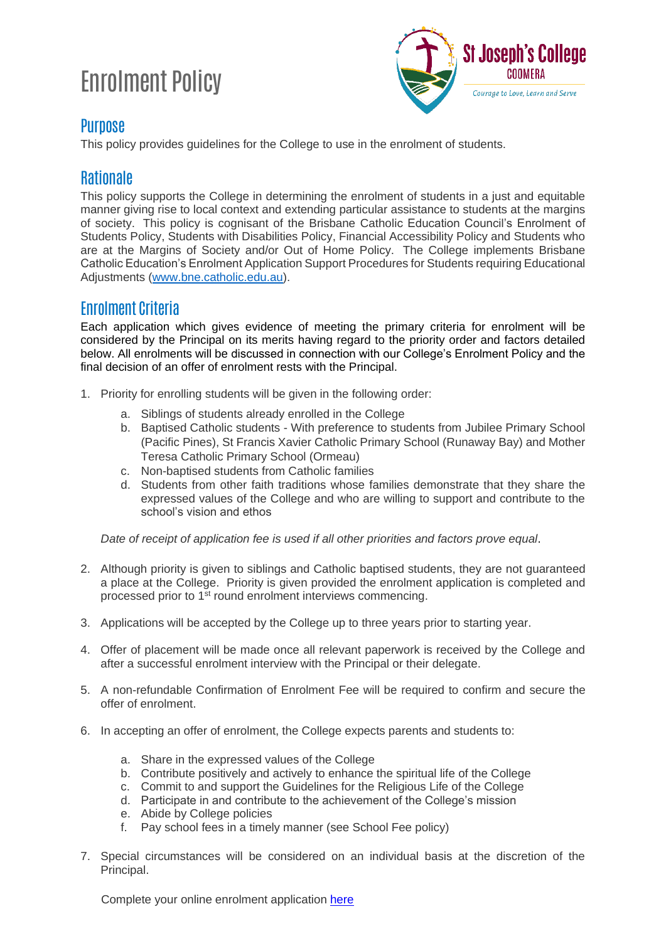# Enrolment Policy



#### **Purpose**

This policy provides guidelines for the College to use in the enrolment of students.

## **Rationale**

This policy supports the College in determining the enrolment of students in a just and equitable manner giving rise to local context and extending particular assistance to students at the margins of society. This policy is cognisant of the Brisbane Catholic Education Council's Enrolment of Students Policy, Students with Disabilities Policy, Financial Accessibility Policy and Students who are at the Margins of Society and/or Out of Home Policy. The College implements Brisbane Catholic Education's Enrolment Application Support Procedures for Students requiring Educational Adjustments [\(www.bne.catholic.edu.au\)](http://www.bne.catholic.edu.au/).

## Enrolment Criteria

Each application which gives evidence of meeting the primary criteria for enrolment will be considered by the Principal on its merits having regard to the priority order and factors detailed below. All enrolments will be discussed in connection with our College's Enrolment Policy and the final decision of an offer of enrolment rests with the Principal.

- 1. Priority for enrolling students will be given in the following order:
	- a. Siblings of students already enrolled in the College
	- b. Baptised Catholic students With preference to students from Jubilee Primary School (Pacific Pines), St Francis Xavier Catholic Primary School (Runaway Bay) and Mother Teresa Catholic Primary School (Ormeau)
	- c. Non-baptised students from Catholic families
	- d. Students from other faith traditions whose families demonstrate that they share the expressed values of the College and who are willing to support and contribute to the school's vision and ethos

*Date of receipt of application fee is used if all other priorities and factors prove equal*.

- 2. Although priority is given to siblings and Catholic baptised students, they are not guaranteed a place at the College. Priority is given provided the enrolment application is completed and processed prior to 1st round enrolment interviews commencing.
- 3. Applications will be accepted by the College up to three years prior to starting year.
- 4. Offer of placement will be made once all relevant paperwork is received by the College and after a successful enrolment interview with the Principal or their delegate.
- 5. A non-refundable Confirmation of Enrolment Fee will be required to confirm and secure the offer of enrolment.
- 6. In accepting an offer of enrolment, the College expects parents and students to:
	- a. Share in the expressed values of the College
	- b. Contribute positively and actively to enhance the spiritual life of the College
	- c. Commit to and support the Guidelines for the Religious Life of the College
	- d. Participate in and contribute to the achievement of the College's mission
	- e. Abide by College policies
	- f. Pay school fees in a timely manner (see School Fee policy)
- 7. Special circumstances will be considered on an individual basis at the discretion of the Principal.

Complete your online enrolment application [here](https://public.bne.catholic.edu.au/enrolmentspublic?schoolId=557#/enrolment-clean/home)